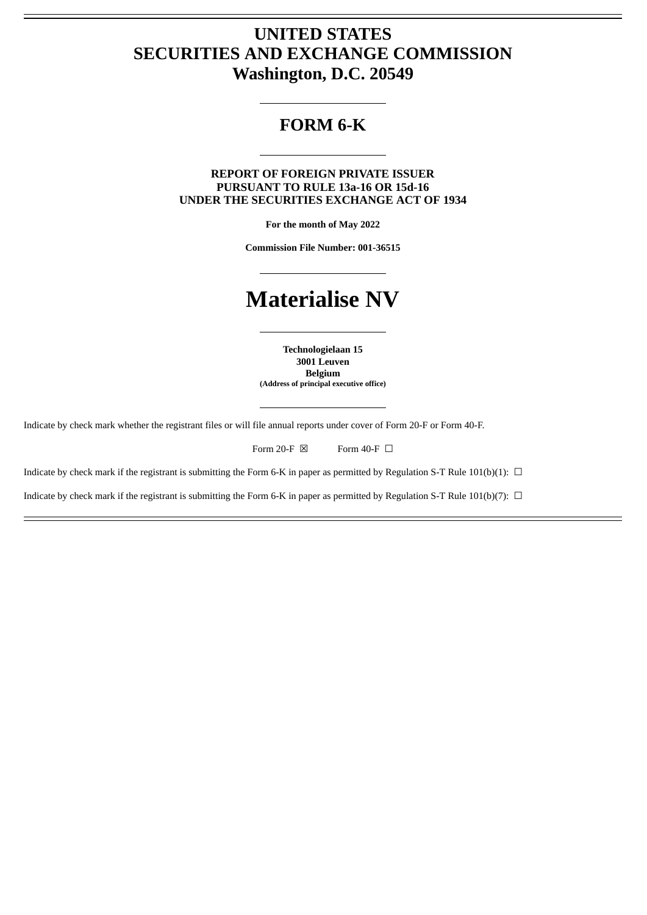# **UNITED STATES SECURITIES AND EXCHANGE COMMISSION Washington, D.C. 20549**

# **FORM 6-K**

**REPORT OF FOREIGN PRIVATE ISSUER PURSUANT TO RULE 13a-16 OR 15d-16 UNDER THE SECURITIES EXCHANGE ACT OF 1934**

**For the month of May 2022**

**Commission File Number: 001-36515**

# **Materialise NV**

**Technologielaan 15 3001 Leuven Belgium (Address of principal executive office)**

Indicate by check mark whether the registrant files or will file annual reports under cover of Form 20-F or Form 40-F.

Form 20-F  $\boxtimes$  Form 40-F  $\Box$ 

Indicate by check mark if the registrant is submitting the Form 6-K in paper as permitted by Regulation S-T Rule 101(b)(1):  $\Box$ 

Indicate by check mark if the registrant is submitting the Form 6-K in paper as permitted by Regulation S-T Rule 101(b)(7):  $\Box$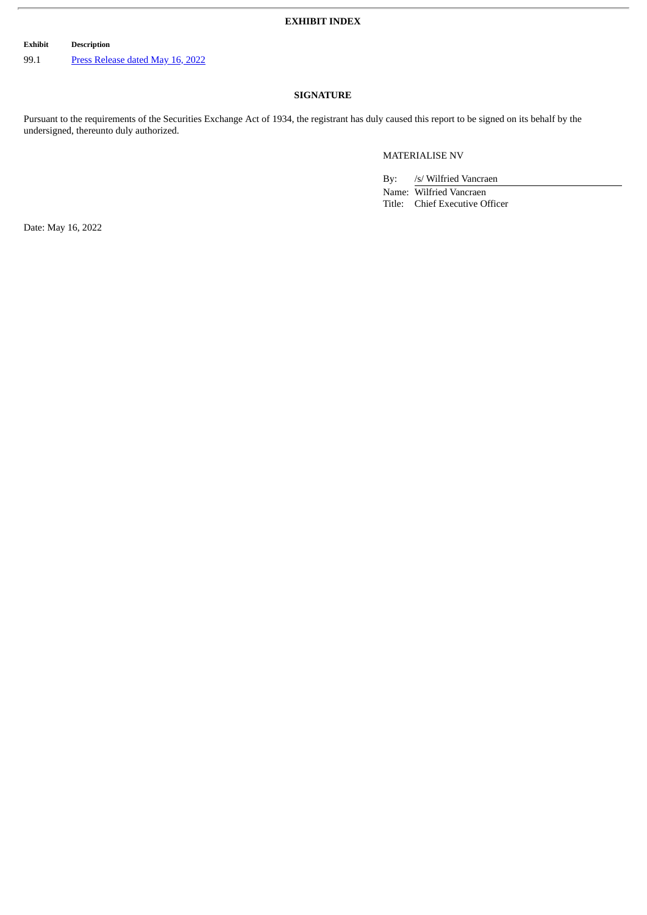## **EXHIBIT INDEX**

**Exhibit Description**

99.1 Press [Release](#page-2-0) dated May 16, 2022

# **SIGNATURE**

Pursuant to the requirements of the Securities Exchange Act of 1934, the registrant has duly caused this report to be signed on its behalf by the undersigned, thereunto duly authorized.

## MATERIALISE NV

By: /s/ Wilfried Vancraen

Name: Wilfried Vancraen Title: Chief Executive Officer

Date: May 16, 2022